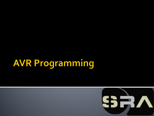## **AVR Programming**

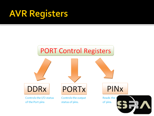## **AVR Registers**

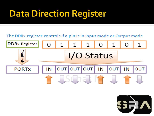## **Data Direction Register**

#### The DDRx register controls if a pin is in Input mode or Output mode



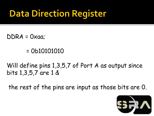## **Data Direction Register**

- $DDRA = Oxaa$ 
	- = 0b10101010

Will define pins 1,3,5,7 of Port A as output since bits 1,3,5,7 are 1 &

the rest of the pins are input as those bits are 0.

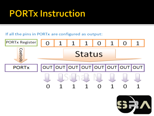#### **PORTx Instruction**

#### If all the pins in PORTx are configured as output:



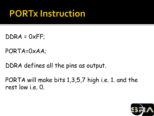#### **PORTx Instruction**

- DDRA = 0xFF;
- PORTA=0xAA;
- DDRA defines all the pins as output.
- PORTA will make bits 1,3,5,7 high i.e. 1. and the rest low i.e. 0.

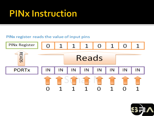#### **PINx Instruction**

#### PINx register reads the value of input pins



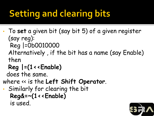## **Setting and clearing bits**

- To **set** a given bit (say bit 5) of a given register (say reg):
	- Reg |=0b0010000
	- Alternatively , if the bit has a name (say Enable) then
	- **Reg |=(1<<Enable)**

does the same.

- where << is the **Left Shift Operator**.
- Similarly for clearing the bit **Reg&=~(1<<Enable)**  is used.

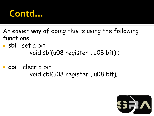#### Contd...

An easier way of doing this is using the following functions:

- **sbi** : set a bit void sbi(u08 register , u08 bit) ;
- **cbi** : clear a bit void cbi(u08 register , u08 bit);

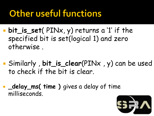### **Other useful functions**

- **bit\_is\_set**( PINx, y) returns a '1' if the specified bit is set(logical 1) and zero otherwise .
- Similarly , **bit\_is\_clear**(PINx , y) can be used to check if the bit is clear.
- **Latelay\_ms( time )** gives a delay of time milliseconds.

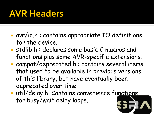#### **AVR Headers**

- avr/io.h : contains appropriate IO definitions for the device.
- **Stdlib.h: declares some basic C macros and** functions plus some AVR-specific extensions.
- compat/deprecated.h : contains several items that used to be available in previous versions of this library, but have eventually been deprecated over time.
- **util/delay.h: Contains convenience functions** for busy/wait delay loops.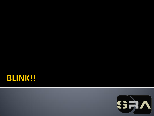

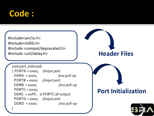#### **Code:**

#include<avr/io.h> #include<stdlib.h> #include <compat/deprecated.h> #include <util/delay.h> **Header Files**

void port\_init(void)  $\{$  PORTA = 0x00; //input port DDRA = 0x00; //no pull-up PORTB = 0x00; //input port DDRB = 0x00; //no pull-up  $PORTC = 0x00;$  DDRC = 0xFF; // PORTC all output PORTD = 0x00; //input port DDRD = 0x00; //no pull-up }

#### **Port Initialization**

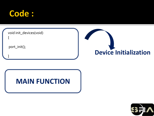

| void init_devices(void) |                              |
|-------------------------|------------------------------|
| port_init();            | <b>Device Initialization</b> |
|                         |                              |

# **MAIN FUNCTION**